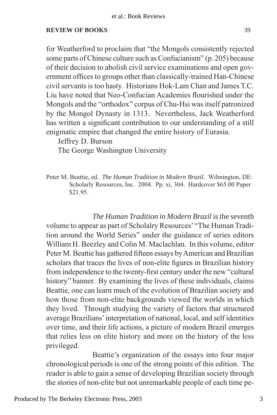## **REVIEW OF BOOKS** 39

for Weatherford to proclaim that "the Mongols consistently rejected some parts of Chinese culture such as Confucianism" (p. 205) because of their decision to abolish civil service examinations and open government offices to groups other than classically-trained Han-Chinese civil servants is too hasty. Historians Hok-Lam Chan and James T.C. Liu have noted that Neo-Confucian Academies flourished under the Mongols and the "orthodox" corpus of Chu-Hsi was itself patronized by the Mongol Dynasty in 1313. Nevertheless, Jack Weatherford has written a significant contribution to our understanding of a still enigmatic empire that changed the entire history of Eurasia.

Jeffrey D. Burson

The George Washington University

Peter M. Beattie, ed. *The Human Tradition in Modern Brazil.* Wilmington, DE: Scholarly Resources, Inc. 2004. Pp. xi, 304. Hardcover \$65.00 Paper \$21.95.

 *The Human Tradition in Modern Brazil* isthe seventh volume to appear as part of Scholalry Resources' "The Human Tradition around the World Series" under the guidance of series editors William H. Beezley and Colin M. Maclachlan. In this volume, editor Peter M. Beattie has gathered fifteen essays by American and Brazilian scholars that traces the lives of non-elite figures in Brazilian history from independence to the twenty-first century under the new "cultural history" banner. By examining the lives of these individuals, claims Beattie, one can learn much of the evolution of Brazilian society and how those from non-elite backgrounds viewed the worlds in which they lived. Through studying the variety of factors that structured average Brazilians' interpretation of national, local, and self identities over time, and their life actions, a picture of modern Brazil emerges that relies less on elite history and more on the history of the less privileged.

Beattie's organization of the essays into four major chronological periods is one of the strong points of this edition. The reader is able to gain a sense of developing Brazilian society through the stories of non-elite but not unremarkable people of each time pe-